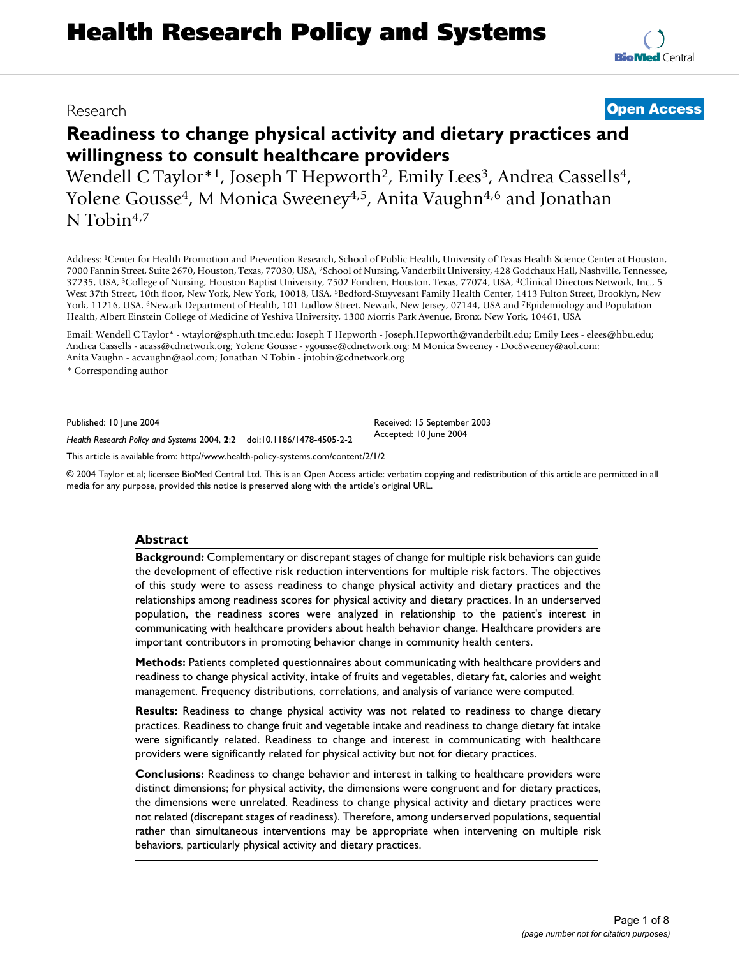## Research **[Open Access](http://www.biomedcentral.com/info/about/charter/)**

# **Readiness to change physical activity and dietary practices and willingness to consult healthcare providers**

Wendell C Taylor<sup>\*1</sup>, Joseph T Hepworth<sup>2</sup>, Emily Lees<sup>3</sup>, Andrea Cassells<sup>4</sup>, Yolene Gousse<sup>4</sup>, M Monica Sweeney<sup>4,5</sup>, Anita Vaughn<sup>4,6</sup> and Jonathan N Tobin4,7

Address: 1Center for Health Promotion and Prevention Research, School of Public Health, University of Texas Health Science Center at Houston, 7000 Fannin Street, Suite 2670, Houston, Texas, 77030, USA, 2School of Nursing, Vanderbilt University, 428 Godchaux Hall, Nashville, Tennessee, 37235, USA, 3College of Nursing, Houston Baptist University, 7502 Fondren, Houston, Texas, 77074, USA, 4Clinical Directors Network, Inc., 5 West 37th Street, 10th floor, New York, New York, 10018, USA, 5Bedford-Stuyvesant Family Health Center, 1413 Fulton Street, Brooklyn, New York, 11216, USA, <sup>6</sup>Newark Department of Health, 101 Ludlow Street, Newark, New Jersey, 07144, USA and <sup>7</sup>Epidemiology and Population Health, Albert Einstein College of Medicine of Yeshiva University, 1300 Morris Park Avenue, Bronx, New York, 10461, USA

Email: Wendell C Taylor\* - wtaylor@sph.uth.tmc.edu; Joseph T Hepworth - Joseph.Hepworth@vanderbilt.edu; Emily Lees - elees@hbu.edu; Andrea Cassells - acass@cdnetwork.org; Yolene Gousse - ygousse@cdnetwork.org; M Monica Sweeney - DocSweeney@aol.com; Anita Vaughn - acvaughn@aol.com; Jonathan N Tobin - jntobin@cdnetwork.org

\* Corresponding author

Published: 10 June 2004

*Health Research Policy and Systems* 2004, **2**:2 doi:10.1186/1478-4505-2-2

[This article is available from: http://www.health-policy-systems.com/content/2/1/2](http://www.health-policy-systems.com/content/2/1/2)

© 2004 Taylor et al; licensee BioMed Central Ltd. This is an Open Access article: verbatim copying and redistribution of this article are permitted in all media for any purpose, provided this notice is preserved along with the article's original URL.

Received: 15 September 2003 Accepted: 10 June 2004

#### **Abstract**

**Background:** Complementary or discrepant stages of change for multiple risk behaviors can guide the development of effective risk reduction interventions for multiple risk factors. The objectives of this study were to assess readiness to change physical activity and dietary practices and the relationships among readiness scores for physical activity and dietary practices. In an underserved population, the readiness scores were analyzed in relationship to the patient's interest in communicating with healthcare providers about health behavior change. Healthcare providers are important contributors in promoting behavior change in community health centers.

**Methods:** Patients completed questionnaires about communicating with healthcare providers and readiness to change physical activity, intake of fruits and vegetables, dietary fat, calories and weight management. Frequency distributions, correlations, and analysis of variance were computed.

**Results:** Readiness to change physical activity was not related to readiness to change dietary practices. Readiness to change fruit and vegetable intake and readiness to change dietary fat intake were significantly related. Readiness to change and interest in communicating with healthcare providers were significantly related for physical activity but not for dietary practices.

**Conclusions:** Readiness to change behavior and interest in talking to healthcare providers were distinct dimensions; for physical activity, the dimensions were congruent and for dietary practices, the dimensions were unrelated. Readiness to change physical activity and dietary practices were not related (discrepant stages of readiness). Therefore, among underserved populations, sequential rather than simultaneous interventions may be appropriate when intervening on multiple risk behaviors, particularly physical activity and dietary practices.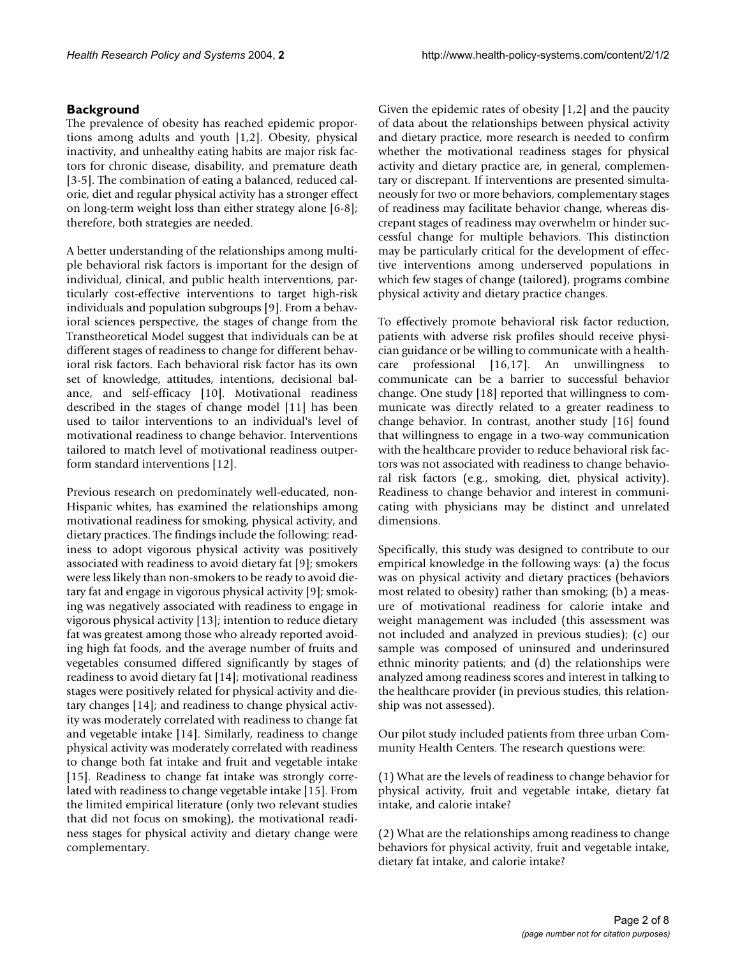## **Background**

The prevalence of obesity has reached epidemic proportions among adults and youth [1,2]. Obesity, physical inactivity, and unhealthy eating habits are major risk factors for chronic disease, disability, and premature death [3-5]. The combination of eating a balanced, reduced calorie, diet and regular physical activity has a stronger effect on long-term weight loss than either strategy alone [6-8]; therefore, both strategies are needed.

A better understanding of the relationships among multiple behavioral risk factors is important for the design of individual, clinical, and public health interventions, particularly cost-effective interventions to target high-risk individuals and population subgroups [9]. From a behavioral sciences perspective, the stages of change from the Transtheoretical Model suggest that individuals can be at different stages of readiness to change for different behavioral risk factors. Each behavioral risk factor has its own set of knowledge, attitudes, intentions, decisional balance, and self-efficacy [10]. Motivational readiness described in the stages of change model [11] has been used to tailor interventions to an individual's level of motivational readiness to change behavior. Interventions tailored to match level of motivational readiness outperform standard interventions [12].

Previous research on predominately well-educated, non-Hispanic whites, has examined the relationships among motivational readiness for smoking, physical activity, and dietary practices. The findings include the following: readiness to adopt vigorous physical activity was positively associated with readiness to avoid dietary fat [9]; smokers were less likely than non-smokers to be ready to avoid dietary fat and engage in vigorous physical activity [9]; smoking was negatively associated with readiness to engage in vigorous physical activity [13]; intention to reduce dietary fat was greatest among those who already reported avoiding high fat foods, and the average number of fruits and vegetables consumed differed significantly by stages of readiness to avoid dietary fat [14]; motivational readiness stages were positively related for physical activity and dietary changes [14]; and readiness to change physical activity was moderately correlated with readiness to change fat and vegetable intake [14]. Similarly, readiness to change physical activity was moderately correlated with readiness to change both fat intake and fruit and vegetable intake [15]. Readiness to change fat intake was strongly correlated with readiness to change vegetable intake [15]. From the limited empirical literature (only two relevant studies that did not focus on smoking), the motivational readiness stages for physical activity and dietary change were complementary.

Given the epidemic rates of obesity [1,2] and the paucity of data about the relationships between physical activity and dietary practice, more research is needed to confirm whether the motivational readiness stages for physical activity and dietary practice are, in general, complementary or discrepant. If interventions are presented simultaneously for two or more behaviors, complementary stages of readiness may facilitate behavior change, whereas discrepant stages of readiness may overwhelm or hinder successful change for multiple behaviors. This distinction may be particularly critical for the development of effective interventions among underserved populations in which few stages of change (tailored), programs combine physical activity and dietary practice changes.

To effectively promote behavioral risk factor reduction, patients with adverse risk profiles should receive physician guidance or be willing to communicate with a healthcare professional [16,17]. An unwillingness to communicate can be a barrier to successful behavior change. One study [18] reported that willingness to communicate was directly related to a greater readiness to change behavior. In contrast, another study [16] found that willingness to engage in a two-way communication with the healthcare provider to reduce behavioral risk factors was not associated with readiness to change behavioral risk factors (e.g., smoking, diet, physical activity). Readiness to change behavior and interest in communicating with physicians may be distinct and unrelated dimensions.

Specifically, this study was designed to contribute to our empirical knowledge in the following ways: (a) the focus was on physical activity and dietary practices (behaviors most related to obesity) rather than smoking; (b) a measure of motivational readiness for calorie intake and weight management was included (this assessment was not included and analyzed in previous studies); (c) our sample was composed of uninsured and underinsured ethnic minority patients; and (d) the relationships were analyzed among readiness scores and interest in talking to the healthcare provider (in previous studies, this relationship was not assessed).

Our pilot study included patients from three urban Community Health Centers. The research questions were:

(1) What are the levels of readiness to change behavior for physical activity, fruit and vegetable intake, dietary fat intake, and calorie intake?

(2) What are the relationships among readiness to change behaviors for physical activity, fruit and vegetable intake, dietary fat intake, and calorie intake?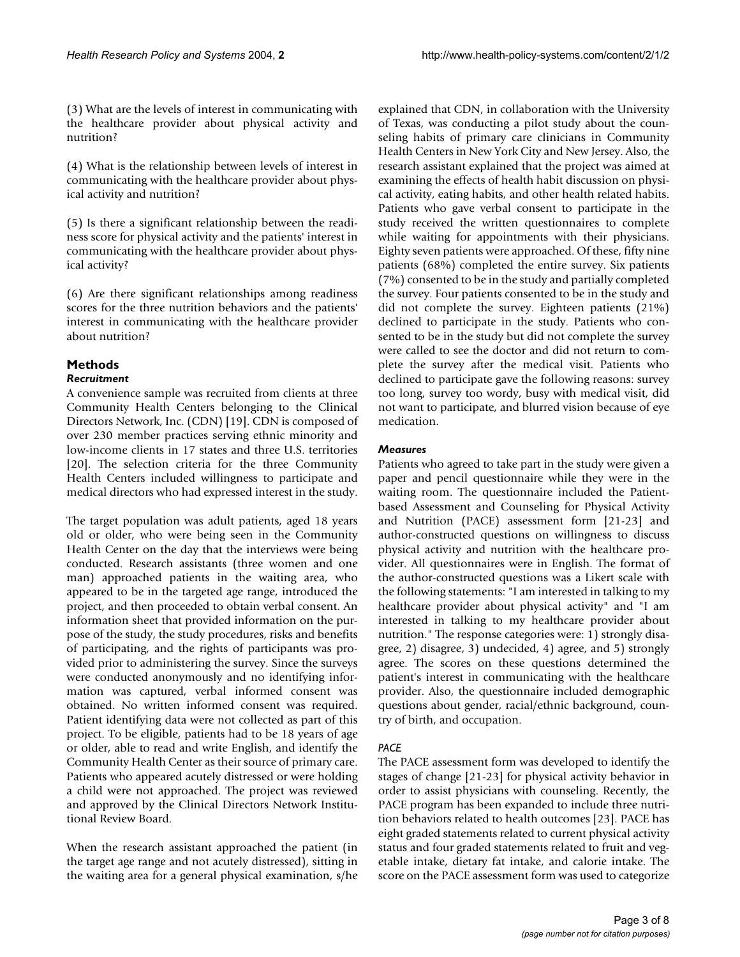(3) What are the levels of interest in communicating with the healthcare provider about physical activity and nutrition?

(4) What is the relationship between levels of interest in communicating with the healthcare provider about physical activity and nutrition?

(5) Is there a significant relationship between the readiness score for physical activity and the patients' interest in communicating with the healthcare provider about physical activity?

(6) Are there significant relationships among readiness scores for the three nutrition behaviors and the patients' interest in communicating with the healthcare provider about nutrition?

#### **Methods** *Recruitment*

A convenience sample was recruited from clients at three Community Health Centers belonging to the Clinical Directors Network, Inc. (CDN) [19]. CDN is composed of over 230 member practices serving ethnic minority and low-income clients in 17 states and three U.S. territories [20]. The selection criteria for the three Community Health Centers included willingness to participate and medical directors who had expressed interest in the study.

The target population was adult patients, aged 18 years old or older, who were being seen in the Community Health Center on the day that the interviews were being conducted. Research assistants (three women and one man) approached patients in the waiting area, who appeared to be in the targeted age range, introduced the project, and then proceeded to obtain verbal consent. An information sheet that provided information on the purpose of the study, the study procedures, risks and benefits of participating, and the rights of participants was provided prior to administering the survey. Since the surveys were conducted anonymously and no identifying information was captured, verbal informed consent was obtained. No written informed consent was required. Patient identifying data were not collected as part of this project. To be eligible, patients had to be 18 years of age or older, able to read and write English, and identify the Community Health Center as their source of primary care. Patients who appeared acutely distressed or were holding a child were not approached. The project was reviewed and approved by the Clinical Directors Network Institutional Review Board.

When the research assistant approached the patient (in the target age range and not acutely distressed), sitting in the waiting area for a general physical examination, s/he explained that CDN, in collaboration with the University of Texas, was conducting a pilot study about the counseling habits of primary care clinicians in Community Health Centers in New York City and New Jersey. Also, the research assistant explained that the project was aimed at examining the effects of health habit discussion on physical activity, eating habits, and other health related habits. Patients who gave verbal consent to participate in the study received the written questionnaires to complete while waiting for appointments with their physicians. Eighty seven patients were approached. Of these, fifty nine patients (68%) completed the entire survey. Six patients (7%) consented to be in the study and partially completed the survey. Four patients consented to be in the study and did not complete the survey. Eighteen patients (21%) declined to participate in the study. Patients who consented to be in the study but did not complete the survey were called to see the doctor and did not return to complete the survey after the medical visit. Patients who declined to participate gave the following reasons: survey too long, survey too wordy, busy with medical visit, did not want to participate, and blurred vision because of eye medication.

### *Measures*

Patients who agreed to take part in the study were given a paper and pencil questionnaire while they were in the waiting room. The questionnaire included the Patientbased Assessment and Counseling for Physical Activity and Nutrition (PACE) assessment form [21-23] and author-constructed questions on willingness to discuss physical activity and nutrition with the healthcare provider. All questionnaires were in English. The format of the author-constructed questions was a Likert scale with the following statements: "I am interested in talking to my healthcare provider about physical activity" and "I am interested in talking to my healthcare provider about nutrition." The response categories were: 1) strongly disagree, 2) disagree, 3) undecided, 4) agree, and 5) strongly agree. The scores on these questions determined the patient's interest in communicating with the healthcare provider. Also, the questionnaire included demographic questions about gender, racial/ethnic background, country of birth, and occupation.

## *PACE*

The PACE assessment form was developed to identify the stages of change [21-23] for physical activity behavior in order to assist physicians with counseling. Recently, the PACE program has been expanded to include three nutrition behaviors related to health outcomes [23]. PACE has eight graded statements related to current physical activity status and four graded statements related to fruit and vegetable intake, dietary fat intake, and calorie intake. The score on the PACE assessment form was used to categorize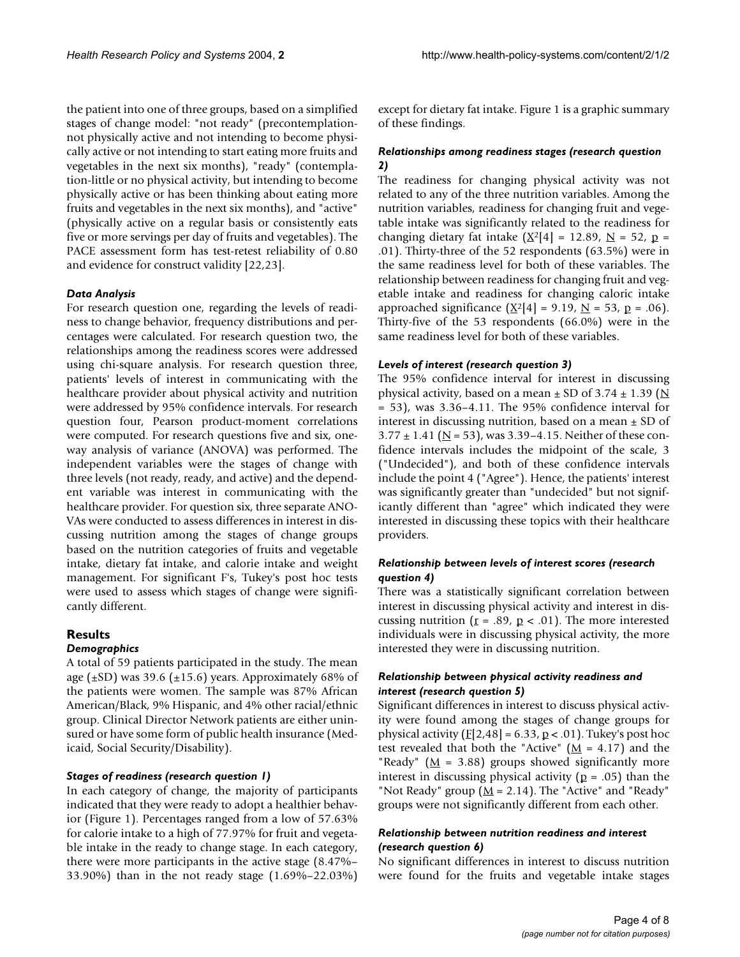the patient into one of three groups, based on a simplified stages of change model: "not ready" (precontemplationnot physically active and not intending to become physically active or not intending to start eating more fruits and vegetables in the next six months), "ready" (contemplation-little or no physical activity, but intending to become physically active or has been thinking about eating more fruits and vegetables in the next six months), and "active" (physically active on a regular basis or consistently eats five or more servings per day of fruits and vegetables). The PACE assessment form has test-retest reliability of 0.80 and evidence for construct validity [22,23].

#### *Data Analysis*

For research question one, regarding the levels of readiness to change behavior, frequency distributions and percentages were calculated. For research question two, the relationships among the readiness scores were addressed using chi-square analysis. For research question three, patients' levels of interest in communicating with the healthcare provider about physical activity and nutrition were addressed by 95% confidence intervals. For research question four, Pearson product-moment correlations were computed. For research questions five and six, oneway analysis of variance (ANOVA) was performed. The independent variables were the stages of change with three levels (not ready, ready, and active) and the dependent variable was interest in communicating with the healthcare provider. For question six, three separate ANO-VAs were conducted to assess differences in interest in discussing nutrition among the stages of change groups based on the nutrition categories of fruits and vegetable intake, dietary fat intake, and calorie intake and weight management. For significant F's, Tukey's post hoc tests were used to assess which stages of change were significantly different.

## **Results**

#### *Demographics*

A total of 59 patients participated in the study. The mean age ( $\pm$ SD) was 39.6 ( $\pm$ 15.6) years. Approximately 68% of the patients were women. The sample was 87% African American/Black, 9% Hispanic, and 4% other racial/ethnic group. Clinical Director Network patients are either uninsured or have some form of public health insurance (Medicaid, Social Security/Disability).

#### *Stages of readiness (research question 1)*

In each category of change, the majority of participants indicated that they were ready to adopt a healthier behavior (Figure [1](#page-4-0)). Percentages ranged from a low of 57.63% for calorie intake to a high of 77.97% for fruit and vegetable intake in the ready to change stage. In each category, there were more participants in the active stage (8.47%– 33.90%) than in the not ready stage (1.69%–22.03%) except for dietary fat intake. Figure [1](#page-4-0) is a graphic summary of these findings.

#### *Relationships among readiness stages (research question 2)*

The readiness for changing physical activity was not related to any of the three nutrition variables. Among the nutrition variables, readiness for changing fruit and vegetable intake was significantly related to the readiness for changing dietary fat intake  $(\underline{X^2} \mid 4] = 12.89$ ,  $\underline{N} = 52$ ,  $\underline{p} =$ .01). Thirty-three of the 52 respondents (63.5%) were in the same readiness level for both of these variables. The relationship between readiness for changing fruit and vegetable intake and readiness for changing caloric intake approached significance  $(X^2[4] = 9.19, N = 53, p = .06)$ . Thirty-five of the 53 respondents (66.0%) were in the same readiness level for both of these variables.

#### *Levels of interest (research question 3)*

The 95% confidence interval for interest in discussing physical activity, based on a mean  $\pm$  SD of 3.74  $\pm$  1.39 (N  $= 53$ ), was  $3.36 - 4.11$ . The 95% confidence interval for interest in discussing nutrition, based on a mean  $\pm$  SD of  $3.77 \pm 1.41$  ( $\underline{N} = 53$ ), was 3.39–4.15. Neither of these confidence intervals includes the midpoint of the scale, 3 ("Undecided"), and both of these confidence intervals include the point 4 ("Agree"). Hence, the patients' interest was significantly greater than "undecided" but not significantly different than "agree" which indicated they were interested in discussing these topics with their healthcare providers.

#### *Relationship between levels of interest scores (research question 4)*

There was a statistically significant correlation between interest in discussing physical activity and interest in discussing nutrition ( $r = .89$ ,  $p < .01$ ). The more interested individuals were in discussing physical activity, the more interested they were in discussing nutrition.

#### *Relationship between physical activity readiness and interest (research question 5)*

Significant differences in interest to discuss physical activity were found among the stages of change groups for physical activity  $(E[2,48] = 6.33, p < .01)$ . Tukey's post hoc test revealed that both the "Active" ( $\underline{M}$  = 4.17) and the "Ready" ( $\underline{M}$  = 3.88) groups showed significantly more interest in discussing physical activity ( $p = .05$ ) than the "Not Ready" group ( $\underline{M}$  = 2.14). The "Active" and "Ready" groups were not significantly different from each other.

#### *Relationship between nutrition readiness and interest (research question 6)*

No significant differences in interest to discuss nutrition were found for the fruits and vegetable intake stages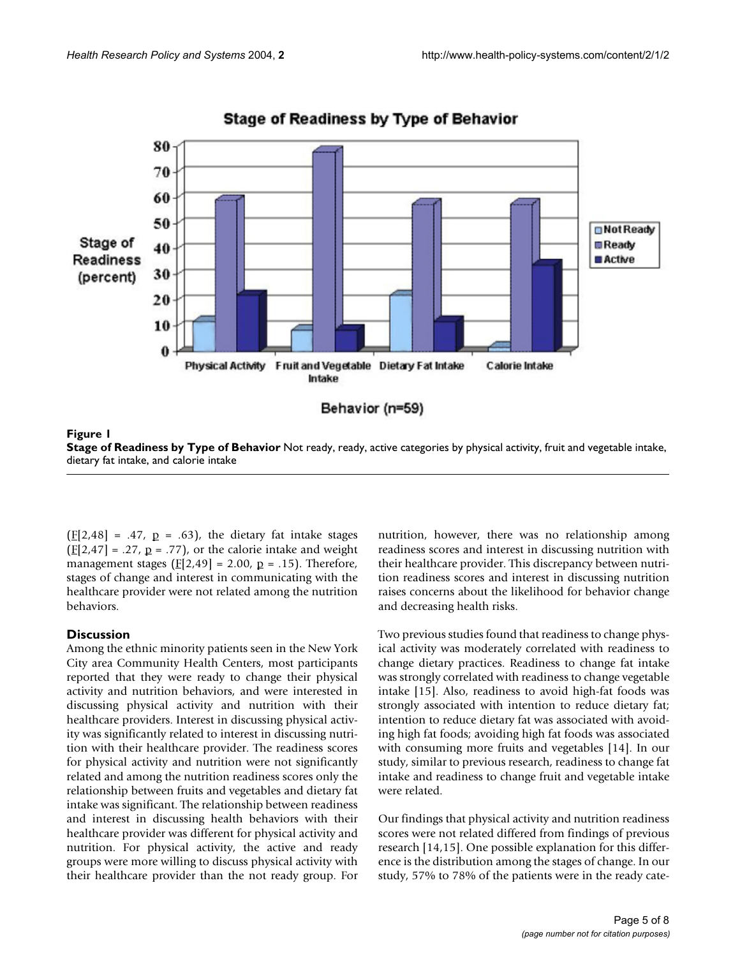<span id="page-4-0"></span>

# **Stage of Readiness by Type of Behavior**

#### **Figure 1 Stage of Readiness by Type of Behavior** Not ready, ready, active categories by physical activity, fruit and vegetable intake, dietary fat intake, and calorie intake

 $(E[2,48] = .47, p = .63)$ , the dietary fat intake stages  $(E[2,47] = .27, p = .77)$ , or the calorie intake and weight management stages  $(E[2,49] = 2.00, p = .15)$ . Therefore, stages of change and interest in communicating with the healthcare provider were not related among the nutrition behaviors.

#### **Discussion**

Among the ethnic minority patients seen in the New York City area Community Health Centers, most participants reported that they were ready to change their physical activity and nutrition behaviors, and were interested in discussing physical activity and nutrition with their healthcare providers. Interest in discussing physical activity was significantly related to interest in discussing nutrition with their healthcare provider. The readiness scores for physical activity and nutrition were not significantly related and among the nutrition readiness scores only the relationship between fruits and vegetables and dietary fat intake was significant. The relationship between readiness and interest in discussing health behaviors with their healthcare provider was different for physical activity and nutrition. For physical activity, the active and ready groups were more willing to discuss physical activity with their healthcare provider than the not ready group. For nutrition, however, there was no relationship among readiness scores and interest in discussing nutrition with their healthcare provider. This discrepancy between nutrition readiness scores and interest in discussing nutrition raises concerns about the likelihood for behavior change and decreasing health risks.

Two previous studies found that readiness to change physical activity was moderately correlated with readiness to change dietary practices. Readiness to change fat intake was strongly correlated with readiness to change vegetable intake [15]. Also, readiness to avoid high-fat foods was strongly associated with intention to reduce dietary fat; intention to reduce dietary fat was associated with avoiding high fat foods; avoiding high fat foods was associated with consuming more fruits and vegetables [14]. In our study, similar to previous research, readiness to change fat intake and readiness to change fruit and vegetable intake were related.

Our findings that physical activity and nutrition readiness scores were not related differed from findings of previous research [14,15]. One possible explanation for this difference is the distribution among the stages of change. In our study, 57% to 78% of the patients were in the ready cate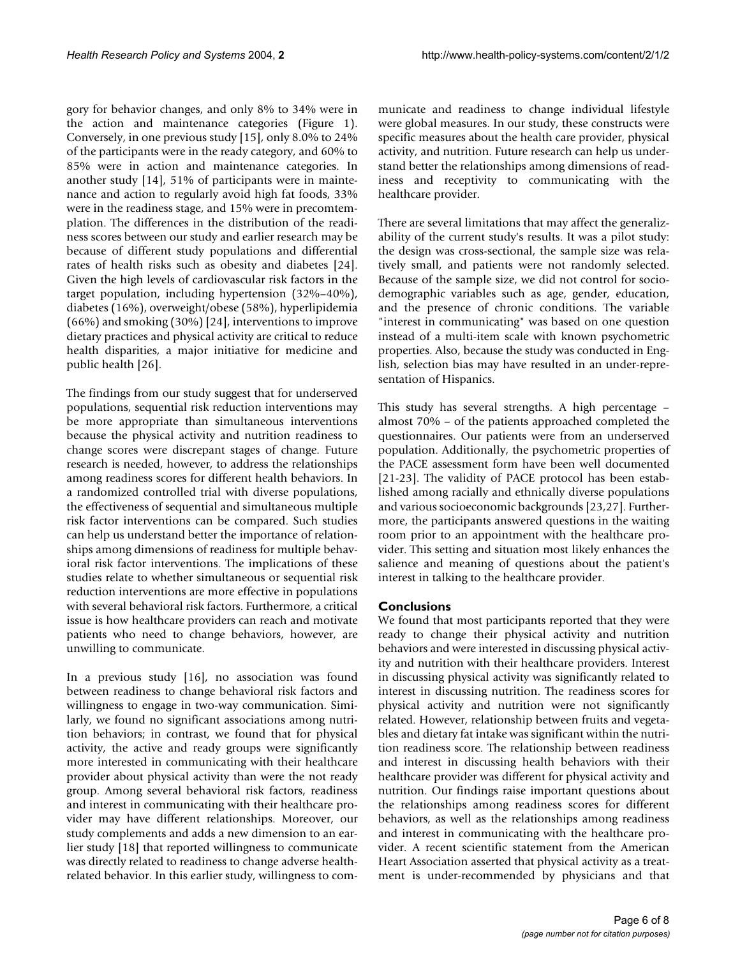gory for behavior changes, and only 8% to 34% were in the action and maintenance categories (Figure [1\)](#page-4-0). Conversely, in one previous study [15], only 8.0% to 24% of the participants were in the ready category, and 60% to 85% were in action and maintenance categories. In another study [14], 51% of participants were in maintenance and action to regularly avoid high fat foods, 33% were in the readiness stage, and 15% were in precomtemplation. The differences in the distribution of the readiness scores between our study and earlier research may be because of different study populations and differential rates of health risks such as obesity and diabetes [24]. Given the high levels of cardiovascular risk factors in the target population, including hypertension (32%–40%), diabetes (16%), overweight/obese (58%), hyperlipidemia (66%) and smoking (30%) [24], interventions to improve dietary practices and physical activity are critical to reduce health disparities, a major initiative for medicine and public health [26].

The findings from our study suggest that for underserved populations, sequential risk reduction interventions may be more appropriate than simultaneous interventions because the physical activity and nutrition readiness to change scores were discrepant stages of change. Future research is needed, however, to address the relationships among readiness scores for different health behaviors. In a randomized controlled trial with diverse populations, the effectiveness of sequential and simultaneous multiple risk factor interventions can be compared. Such studies can help us understand better the importance of relationships among dimensions of readiness for multiple behavioral risk factor interventions. The implications of these studies relate to whether simultaneous or sequential risk reduction interventions are more effective in populations with several behavioral risk factors. Furthermore, a critical issue is how healthcare providers can reach and motivate patients who need to change behaviors, however, are unwilling to communicate.

In a previous study [16], no association was found between readiness to change behavioral risk factors and willingness to engage in two-way communication. Similarly, we found no significant associations among nutrition behaviors; in contrast, we found that for physical activity, the active and ready groups were significantly more interested in communicating with their healthcare provider about physical activity than were the not ready group. Among several behavioral risk factors, readiness and interest in communicating with their healthcare provider may have different relationships. Moreover, our study complements and adds a new dimension to an earlier study [18] that reported willingness to communicate was directly related to readiness to change adverse healthrelated behavior. In this earlier study, willingness to communicate and readiness to change individual lifestyle were global measures. In our study, these constructs were specific measures about the health care provider, physical activity, and nutrition. Future research can help us understand better the relationships among dimensions of readiness and receptivity to communicating with the healthcare provider.

There are several limitations that may affect the generalizability of the current study's results. It was a pilot study: the design was cross-sectional, the sample size was relatively small, and patients were not randomly selected. Because of the sample size, we did not control for sociodemographic variables such as age, gender, education, and the presence of chronic conditions. The variable "interest in communicating" was based on one question instead of a multi-item scale with known psychometric properties. Also, because the study was conducted in English, selection bias may have resulted in an under-representation of Hispanics.

This study has several strengths. A high percentage – almost 70% – of the patients approached completed the questionnaires. Our patients were from an underserved population. Additionally, the psychometric properties of the PACE assessment form have been well documented [21-23]. The validity of PACE protocol has been established among racially and ethnically diverse populations and various socioeconomic backgrounds [23,27]. Furthermore, the participants answered questions in the waiting room prior to an appointment with the healthcare provider. This setting and situation most likely enhances the salience and meaning of questions about the patient's interest in talking to the healthcare provider.

#### **Conclusions**

We found that most participants reported that they were ready to change their physical activity and nutrition behaviors and were interested in discussing physical activity and nutrition with their healthcare providers. Interest in discussing physical activity was significantly related to interest in discussing nutrition. The readiness scores for physical activity and nutrition were not significantly related. However, relationship between fruits and vegetables and dietary fat intake was significant within the nutrition readiness score. The relationship between readiness and interest in discussing health behaviors with their healthcare provider was different for physical activity and nutrition. Our findings raise important questions about the relationships among readiness scores for different behaviors, as well as the relationships among readiness and interest in communicating with the healthcare provider. A recent scientific statement from the American Heart Association asserted that physical activity as a treatment is under-recommended by physicians and that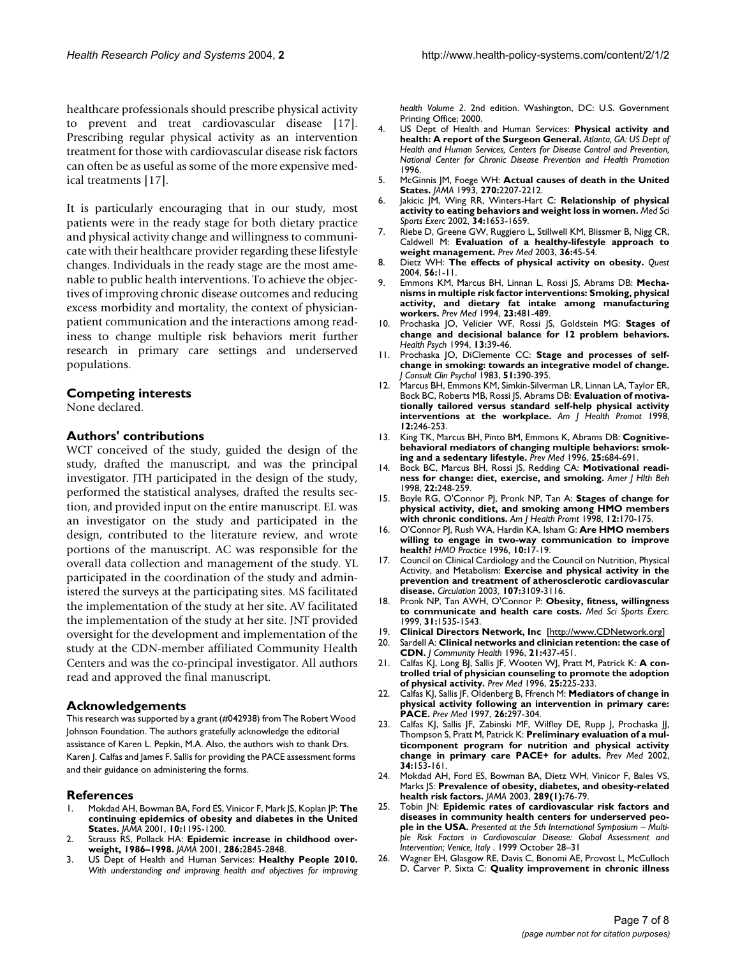healthcare professionals should prescribe physical activity to prevent and treat cardiovascular disease [17]. Prescribing regular physical activity as an intervention treatment for those with cardiovascular disease risk factors can often be as useful as some of the more expensive medical treatments [17].

It is particularly encouraging that in our study, most patients were in the ready stage for both dietary practice and physical activity change and willingness to communicate with their healthcare provider regarding these lifestyle changes. Individuals in the ready stage are the most amenable to public health interventions. To achieve the objectives of improving chronic disease outcomes and reducing excess morbidity and mortality, the context of physicianpatient communication and the interactions among readiness to change multiple risk behaviors merit further research in primary care settings and underserved populations.

#### **Competing interests**

None declared.

#### **Authors' contributions**

WCT conceived of the study, guided the design of the study, drafted the manuscript, and was the principal investigator. JTH participated in the design of the study, performed the statistical analyses, drafted the results section, and provided input on the entire manuscript. EL was an investigator on the study and participated in the design, contributed to the literature review, and wrote portions of the manuscript. AC was responsible for the overall data collection and management of the study. YL participated in the coordination of the study and administered the surveys at the participating sites. MS facilitated the implementation of the study at her site. AV facilitated the implementation of the study at her site. JNT provided oversight for the development and implementation of the study at the CDN-member affiliated Community Health Centers and was the co-principal investigator. All authors read and approved the final manuscript.

#### **Acknowledgements**

This research was supported by a grant (#042938) from The Robert Wood Johnson Foundation. The authors gratefully acknowledge the editorial assistance of Karen L. Pepkin, M.A. Also, the authors wish to thank Drs. Karen J. Calfas and James F. Sallis for providing the PACE assessment forms and their guidance on administering the forms.

#### **References**

- 1. Mokdad AH, Bowman BA, Ford ES, Vinicor F, Mark JS, Koplan JP: **The continuing epidemics of obesity and diabetes in the United States.** *JAMA* 2001, **10:**1195-1200.
- 2. Strauss RS, Pollack HA: **[Epidemic increase in childhood over](http://www.ncbi.nlm.nih.gov/entrez/query.fcgi?cmd=Retrieve&db=PubMed&dopt=Abstract&list_uids=10.1001/jama.286.22.2845)[weight, 1986–1998](http://www.ncbi.nlm.nih.gov/entrez/query.fcgi?cmd=Retrieve&db=PubMed&dopt=Abstract&list_uids=10.1001/jama.286.22.2845)[.](http://www.ncbi.nlm.nih.gov/entrez/query.fcgi?cmd=Retrieve&db=PubMed&dopt=Abstract&list_uids=11735760)** *JAMA* 2001, **286:**2845-2848.
- 3. US Dept of Health and Human Services: **Healthy People 2010.** *With understanding and improving health and objectives for improving*

*health Volume 2*. 2nd edition. Washington, DC: U.S. Government Printing Office; 2000.

- 4. US Dept of Health and Human Services: **Physical activity and health: A report of the Surgeon General.** *Atlanta, GA: US Dept of Health and Human Services, Centers for Disease Control and Prevention, National Center for Chronic Disease Prevention and Health Promotion* 1996.
- 5. McGinnis JM, Foege WH: **[Actual causes of death in the United](http://www.ncbi.nlm.nih.gov/entrez/query.fcgi?cmd=Retrieve&db=PubMed&dopt=Abstract&list_uids=10.1001/jama.270.18.2207) [States](http://www.ncbi.nlm.nih.gov/entrez/query.fcgi?cmd=Retrieve&db=PubMed&dopt=Abstract&list_uids=10.1001/jama.270.18.2207)[.](http://www.ncbi.nlm.nih.gov/entrez/query.fcgi?cmd=Retrieve&db=PubMed&dopt=Abstract&list_uids=8411605)** *JAMA* 1993, **270:**2207-2212.
- 6. Jakicic JM, Wing RR, Winters-Hart C: **[Relationship of physical](http://www.ncbi.nlm.nih.gov/entrez/query.fcgi?cmd=Retrieve&db=PubMed&dopt=Abstract&list_uids=10.1097/00005768-200210000-00018) [activity to eating behaviors and weight loss in women](http://www.ncbi.nlm.nih.gov/entrez/query.fcgi?cmd=Retrieve&db=PubMed&dopt=Abstract&list_uids=10.1097/00005768-200210000-00018)[.](http://www.ncbi.nlm.nih.gov/entrez/query.fcgi?cmd=Retrieve&db=PubMed&dopt=Abstract&list_uids=12370568)** *Med Sci Sports Exerc* 2002, **34:**1653-1659.
- 7. Riebe D, Greene GW, Ruggiero L, Stillwell KM, Blissmer B, Nigg CR, Caldwell M: **[Evaluation of a healthy-lifestyle approach to](http://www.ncbi.nlm.nih.gov/entrez/query.fcgi?cmd=Retrieve&db=PubMed&dopt=Abstract&list_uids=10.1006/pmed.2002.1126) [weight management](http://www.ncbi.nlm.nih.gov/entrez/query.fcgi?cmd=Retrieve&db=PubMed&dopt=Abstract&list_uids=10.1006/pmed.2002.1126)[.](http://www.ncbi.nlm.nih.gov/entrez/query.fcgi?cmd=Retrieve&db=PubMed&dopt=Abstract&list_uids=12473424)** *Prev Med* 2003, **36:**45-54.
- 8. Dietz WH: **The effects of physical activity on obesity.** *Quest* 2004, **56:**1-11.
- 9. Emmons KM, Marcus BH, Linnan L, Rossi JS, Abrams DB: **[Mecha](http://www.ncbi.nlm.nih.gov/entrez/query.fcgi?cmd=Retrieve&db=PubMed&dopt=Abstract&list_uids=10.1006/pmed.1994.1066)[nisms in multiple risk factor interventions: Smoking, physical](http://www.ncbi.nlm.nih.gov/entrez/query.fcgi?cmd=Retrieve&db=PubMed&dopt=Abstract&list_uids=10.1006/pmed.1994.1066) activity, and dietary fat intake among manufacturing [workers](http://www.ncbi.nlm.nih.gov/entrez/query.fcgi?cmd=Retrieve&db=PubMed&dopt=Abstract&list_uids=10.1006/pmed.1994.1066)[.](http://www.ncbi.nlm.nih.gov/entrez/query.fcgi?cmd=Retrieve&db=PubMed&dopt=Abstract&list_uids=7971876)** *Prev Med* 1994, **23:**481-489.
- 10. Prochaska JO, Velicier WF, Rossi JS, Goldstein MG: **[Stages of](http://www.ncbi.nlm.nih.gov/entrez/query.fcgi?cmd=Retrieve&db=PubMed&dopt=Abstract&list_uids=10.1037//0278-6133.13.1.39) [change and decisional balance for 12 problem behaviors.](http://www.ncbi.nlm.nih.gov/entrez/query.fcgi?cmd=Retrieve&db=PubMed&dopt=Abstract&list_uids=10.1037//0278-6133.13.1.39)** *Health Psych* 1994, **13:**39-46.
- 11. Prochaska JO, DiClemente CC: **[Stage and processes of self](http://www.ncbi.nlm.nih.gov/entrez/query.fcgi?cmd=Retrieve&db=PubMed&dopt=Abstract&list_uids=10.1037//0022-006X.51.3.390)[change in smoking: towards an integrative model of change](http://www.ncbi.nlm.nih.gov/entrez/query.fcgi?cmd=Retrieve&db=PubMed&dopt=Abstract&list_uids=10.1037//0022-006X.51.3.390)[.](http://www.ncbi.nlm.nih.gov/entrez/query.fcgi?cmd=Retrieve&db=PubMed&dopt=Abstract&list_uids=6863699)** *J Consult Clin Psychol* 1983, **51:**390-395.
- 12. Marcus BH, Emmons KM, Simkin-Silverman LR, Linnan LA, Taylor ER, Bock BC, Roberts MB, Rossi JS, Abrams DB: **[Evaluation of motiva](http://www.ncbi.nlm.nih.gov/entrez/query.fcgi?cmd=Retrieve&db=PubMed&dopt=Abstract&list_uids=10178617)[tionally tailored versus standard self-help physical activity](http://www.ncbi.nlm.nih.gov/entrez/query.fcgi?cmd=Retrieve&db=PubMed&dopt=Abstract&list_uids=10178617) [interventions at the workplace.](http://www.ncbi.nlm.nih.gov/entrez/query.fcgi?cmd=Retrieve&db=PubMed&dopt=Abstract&list_uids=10178617)** *Am J Health Promot* 1998, **12:**246-253.
- 13. King TK, Marcus BH, Pinto BM, Emmons K, Abrams DB: **[Cognitive](http://www.ncbi.nlm.nih.gov/entrez/query.fcgi?cmd=Retrieve&db=PubMed&dopt=Abstract&list_uids=10.1006/pmed.1996.0107)[behavioral mediators of changing multiple behaviors: smok](http://www.ncbi.nlm.nih.gov/entrez/query.fcgi?cmd=Retrieve&db=PubMed&dopt=Abstract&list_uids=10.1006/pmed.1996.0107)[ing and a sedentary lifestyle](http://www.ncbi.nlm.nih.gov/entrez/query.fcgi?cmd=Retrieve&db=PubMed&dopt=Abstract&list_uids=10.1006/pmed.1996.0107)[.](http://www.ncbi.nlm.nih.gov/entrez/query.fcgi?cmd=Retrieve&db=PubMed&dopt=Abstract&list_uids=8936570)** *Prev Med* 1996, **25:**684-691.
- 14. Bock BC, Marcus BH, Rossi JS, Redding CA: **Motivational readiness for change: diet, exercise, and smoking.** *Amer J Hlth Beh* 1998, **22:**248-259.
- 15. Boyle RG, O'Connor PJ, Pronk NP, Tan A: **Stages of change for physical activity, diet, and smoking among HMO members with chronic conditions.** *Am J Health Promt* 1998, **12:**170-175.
- 16. O'Connor PJ, Rush WA, Hardin KA, Isham G: **[Are HMO members](http://www.ncbi.nlm.nih.gov/entrez/query.fcgi?cmd=Retrieve&db=PubMed&dopt=Abstract&list_uids=10155753) [willing to engage in two-way communication to improve](http://www.ncbi.nlm.nih.gov/entrez/query.fcgi?cmd=Retrieve&db=PubMed&dopt=Abstract&list_uids=10155753) [health?](http://www.ncbi.nlm.nih.gov/entrez/query.fcgi?cmd=Retrieve&db=PubMed&dopt=Abstract&list_uids=10155753)** *HMO Practice* 1996, **10:**17-19.
- 17. Council on Clinical Cardiology and the Council on Nutrition, Physical Activity, and Metabolism: **[Exercise and physical activity in the](http://www.ncbi.nlm.nih.gov/entrez/query.fcgi?cmd=Retrieve&db=PubMed&dopt=Abstract&list_uids=10.1161/01.CIR.0000075572.40158.77) [prevention and treatment of atherosclerotic cardiovascular](http://www.ncbi.nlm.nih.gov/entrez/query.fcgi?cmd=Retrieve&db=PubMed&dopt=Abstract&list_uids=10.1161/01.CIR.0000075572.40158.77) [disease](http://www.ncbi.nlm.nih.gov/entrez/query.fcgi?cmd=Retrieve&db=PubMed&dopt=Abstract&list_uids=10.1161/01.CIR.0000075572.40158.77)[.](http://www.ncbi.nlm.nih.gov/entrez/query.fcgi?cmd=Retrieve&db=PubMed&dopt=Abstract&list_uids=12821592)** *Circulation* 2003, **107:**3109-3116.
- 18. Pronk NP, Tan AWH, O'Connor P: **[Obesity, fitness, willingness](http://www.ncbi.nlm.nih.gov/entrez/query.fcgi?cmd=Retrieve&db=PubMed&dopt=Abstract&list_uids=10.1097/00005768-199911000-00007) [to communicate and health care costs](http://www.ncbi.nlm.nih.gov/entrez/query.fcgi?cmd=Retrieve&db=PubMed&dopt=Abstract&list_uids=10.1097/00005768-199911000-00007)[.](http://www.ncbi.nlm.nih.gov/entrez/query.fcgi?cmd=Retrieve&db=PubMed&dopt=Abstract&list_uids=10589854)** *Med Sci Sports Exerc.* 1999, **31:**1535-1543.
- 19. **Clinical Directors Network, Inc** [\[http://www.CDNetwork.org\]](http://www.CDNetwork.org)
- 20. Sardell A: **[Clinical networks and clinician retention: the case of](http://www.ncbi.nlm.nih.gov/entrez/query.fcgi?cmd=Retrieve&db=PubMed&dopt=Abstract&list_uids=8912120) [CDN.](http://www.ncbi.nlm.nih.gov/entrez/query.fcgi?cmd=Retrieve&db=PubMed&dopt=Abstract&list_uids=8912120)** *J Community Health* 1996, **21:**437-451.
- 21. Calfas KJ, Long BJ, Sallis JF, Wooten WJ, Pratt M, Patrick K: **[A con](http://www.ncbi.nlm.nih.gov/entrez/query.fcgi?cmd=Retrieve&db=PubMed&dopt=Abstract&list_uids=10.1006/pmed.1996.0050)[trolled trial of physician counseling to promote the adoption](http://www.ncbi.nlm.nih.gov/entrez/query.fcgi?cmd=Retrieve&db=PubMed&dopt=Abstract&list_uids=10.1006/pmed.1996.0050) [of physical activity](http://www.ncbi.nlm.nih.gov/entrez/query.fcgi?cmd=Retrieve&db=PubMed&dopt=Abstract&list_uids=10.1006/pmed.1996.0050)[.](http://www.ncbi.nlm.nih.gov/entrez/query.fcgi?cmd=Retrieve&db=PubMed&dopt=Abstract&list_uids=8780999)** *Prev Med* 1996, **25:**225-233.
- 22. Calfas KJ, Sallis JF, Oldenberg B, Ffrench M: **[Mediators of change in](http://www.ncbi.nlm.nih.gov/entrez/query.fcgi?cmd=Retrieve&db=PubMed&dopt=Abstract&list_uids=10.1006/pmed.1997.0141) [physical activity following an intervention in primary care:](http://www.ncbi.nlm.nih.gov/entrez/query.fcgi?cmd=Retrieve&db=PubMed&dopt=Abstract&list_uids=10.1006/pmed.1997.0141) [PACE](http://www.ncbi.nlm.nih.gov/entrez/query.fcgi?cmd=Retrieve&db=PubMed&dopt=Abstract&list_uids=10.1006/pmed.1997.0141)[.](http://www.ncbi.nlm.nih.gov/entrez/query.fcgi?cmd=Retrieve&db=PubMed&dopt=Abstract&list_uids=9144753)** *Prev Med* 1997, **26:**297-304.
- 23. Calfas KJ, Sallis JF, Zabinski MF, Wilfley DE, Rupp J, Prochaska JJ, Thompson S, Pratt M, Patrick K: **[Preliminary evaluation of a mul](http://www.ncbi.nlm.nih.gov/entrez/query.fcgi?cmd=Retrieve&db=PubMed&dopt=Abstract&list_uids=10.1006/pmed.2001.0964)[ticomponent program for nutrition and physical activity](http://www.ncbi.nlm.nih.gov/entrez/query.fcgi?cmd=Retrieve&db=PubMed&dopt=Abstract&list_uids=10.1006/pmed.2001.0964) [change in primary care PACE+ for adults](http://www.ncbi.nlm.nih.gov/entrez/query.fcgi?cmd=Retrieve&db=PubMed&dopt=Abstract&list_uids=10.1006/pmed.2001.0964)[.](http://www.ncbi.nlm.nih.gov/entrez/query.fcgi?cmd=Retrieve&db=PubMed&dopt=Abstract&list_uids=11817910)** *Prev Med* 2002, **34:**153-161.
- 24. Mokdad AH, Ford ES, Bowman BA, Dietz WH, Vinicor F, Bales VS, Marks JS: **[Prevalence of obesity, diabetes, and obesity-related](http://www.ncbi.nlm.nih.gov/entrez/query.fcgi?cmd=Retrieve&db=PubMed&dopt=Abstract&list_uids=10.1001/jama.289.1.76) [health risk factors](http://www.ncbi.nlm.nih.gov/entrez/query.fcgi?cmd=Retrieve&db=PubMed&dopt=Abstract&list_uids=10.1001/jama.289.1.76)[.](http://www.ncbi.nlm.nih.gov/entrez/query.fcgi?cmd=Retrieve&db=PubMed&dopt=Abstract&list_uids=12503980)** *JAMA* 2003, **289(1):**76-79.
- 25. Tobin JN: **Epidemic rates of cardiovascular risk factors and diseases in community health centers for underserved people in the USA.** *Presented at the 5th International Symposium – Multiple Risk Factors in Cardiovascular Disease: Global Assessment and Intervention; Venice, Italy* . 1999 October 28–31
- 26. Wagner EH, Glasgow RE, Davis C, Bonomi AE, Provost L, McCulloch D, Carver P, Sixta C: **[Quality improvement in chronic illness](http://www.ncbi.nlm.nih.gov/entrez/query.fcgi?cmd=Retrieve&db=PubMed&dopt=Abstract&list_uids=11221012)**